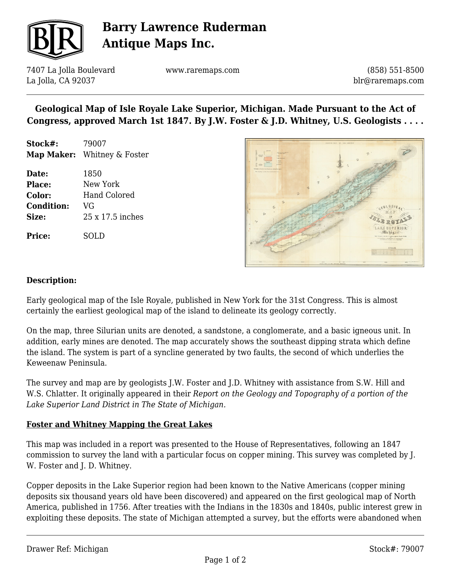

# **Barry Lawrence Ruderman Antique Maps Inc.**

7407 La Jolla Boulevard La Jolla, CA 92037

www.raremaps.com

(858) 551-8500 blr@raremaps.com

## **Geological Map of Isle Royale Lake Superior, Michigan. Made Pursuant to the Act of Congress, approved March 1st 1847. By J.W. Foster & J.D. Whitney, U.S. Geologists . . . .**

**Stock#:** 79007 **Map Maker:** Whitney & Foster

**Date:** 1850 **Place:** New York **Color:** Hand Colored **Condition:** VG **Size:** 25 x 17.5 inches

**Price:** SOLD



#### **Description:**

Early geological map of the Isle Royale, published in New York for the 31st Congress. This is almost certainly the earliest geological map of the island to delineate its geology correctly.

On the map, three Silurian units are denoted, a sandstone, a conglomerate, and a basic igneous unit. In addition, early mines are denoted. The map accurately shows the southeast dipping strata which define the island. The system is part of a syncline generated by two faults, the second of which underlies the Keweenaw Peninsula.

The survey and map are by geologists J.W. Foster and J.D. Whitney with assistance from S.W. Hill and W.S. Chlatter. It originally appeared in their *Report on the Geology and Topography of a portion of the Lake Superior Land District in The State of Michigan.*

### **Foster and Whitney Mapping the Great Lakes**

This map was included in a report was presented to the House of Representatives, following an 1847 commission to survey the land with a particular focus on copper mining. This survey was completed by J. W. Foster and J. D. Whitney.

Copper deposits in the Lake Superior region had been known to the Native Americans (copper mining deposits six thousand years old have been discovered) and appeared on the first geological map of North America, published in 1756. After treaties with the Indians in the 1830s and 1840s, public interest grew in exploiting these deposits. The state of Michigan attempted a survey, but the efforts were abandoned when